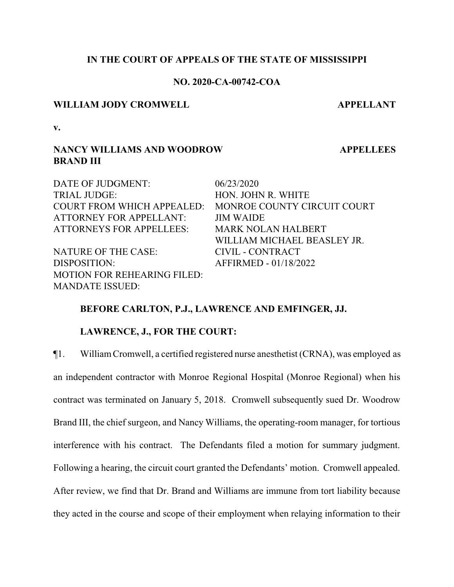## **IN THE COURT OF APPEALS OF THE STATE OF MISSISSIPPI**

## **NO. 2020-CA-00742-COA**

#### **WILLIAM JODY CROMWELL APPELLANT**

**APPELLEES**

**v.**

# **NANCY WILLIAMS AND WOODROW BRAND III**

DATE OF JUDGMENT:  $06/23/2020$ TRIAL JUDGE: HON. JOHN R. WHITE COURT FROM WHICH APPEALED: MONROE COUNTY CIRCUIT COURT ATTORNEY FOR APPELLANT: JIM WAIDE ATTORNEYS FOR APPELLEES: MARK NOLAN HALBERT WILLIAM MICHAEL BEASLEY JR. NATURE OF THE CASE: CIVIL - CONTRACT DISPOSITION: AFFIRMED - 01/18/2022 MOTION FOR REHEARING FILED: MANDATE ISSUED:

### **BEFORE CARLTON, P.J., LAWRENCE AND EMFINGER, JJ.**

#### **LAWRENCE, J., FOR THE COURT:**

¶1. WilliamCromwell, a certified registered nurse anesthetist (CRNA), was employed as an independent contractor with Monroe Regional Hospital (Monroe Regional) when his contract was terminated on January 5, 2018. Cromwell subsequently sued Dr. Woodrow Brand III, the chief surgeon, and Nancy Williams, the operating-room manager, for tortious interference with his contract. The Defendants filed a motion for summary judgment. Following a hearing, the circuit court granted the Defendants' motion. Cromwell appealed. After review, we find that Dr. Brand and Williams are immune from tort liability because they acted in the course and scope of their employment when relaying information to their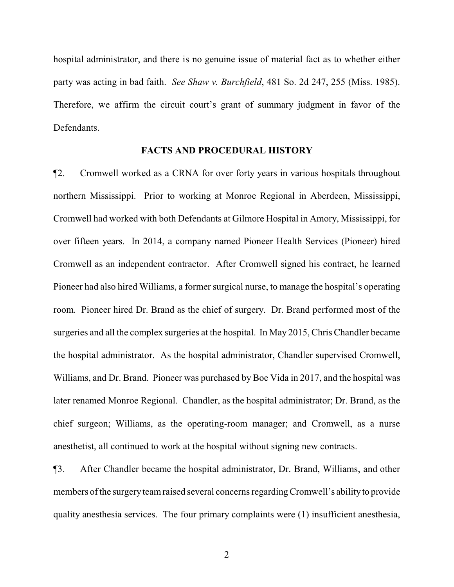hospital administrator, and there is no genuine issue of material fact as to whether either party was acting in bad faith. *See Shaw v. Burchfield*, 481 So. 2d 247, 255 (Miss. 1985). Therefore, we affirm the circuit court's grant of summary judgment in favor of the Defendants.

#### **FACTS AND PROCEDURAL HISTORY**

¶2. Cromwell worked as a CRNA for over forty years in various hospitals throughout northern Mississippi. Prior to working at Monroe Regional in Aberdeen, Mississippi, Cromwell had worked with both Defendants at Gilmore Hospital in Amory, Mississippi, for over fifteen years. In 2014, a company named Pioneer Health Services (Pioneer) hired Cromwell as an independent contractor. After Cromwell signed his contract, he learned Pioneer had also hired Williams, a former surgical nurse, to manage the hospital's operating room. Pioneer hired Dr. Brand as the chief of surgery. Dr. Brand performed most of the surgeries and all the complex surgeries at the hospital. In May 2015, Chris Chandler became the hospital administrator. As the hospital administrator, Chandler supervised Cromwell, Williams, and Dr. Brand. Pioneer was purchased by Boe Vida in 2017, and the hospital was later renamed Monroe Regional. Chandler, as the hospital administrator; Dr. Brand, as the chief surgeon; Williams, as the operating-room manager; and Cromwell, as a nurse anesthetist, all continued to work at the hospital without signing new contracts.

¶3. After Chandler became the hospital administrator, Dr. Brand, Williams, and other members of the surgery team raised several concerns regarding Cromwell's ability to provide quality anesthesia services. The four primary complaints were (1) insufficient anesthesia,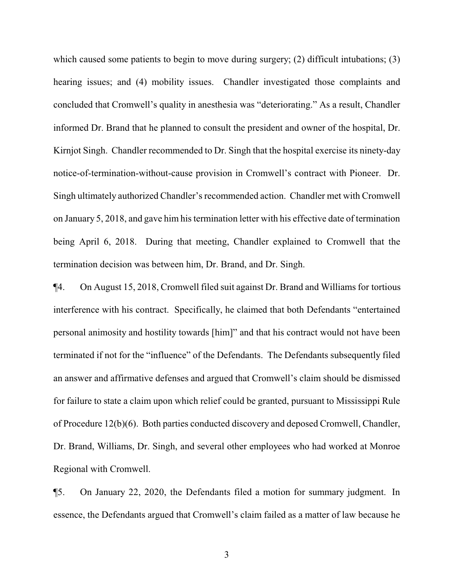which caused some patients to begin to move during surgery; (2) difficult intubations; (3) hearing issues; and (4) mobility issues. Chandler investigated those complaints and concluded that Cromwell's quality in anesthesia was "deteriorating." As a result, Chandler informed Dr. Brand that he planned to consult the president and owner of the hospital, Dr. Kirnjot Singh. Chandler recommended to Dr. Singh that the hospital exercise its ninety-day notice-of-termination-without-cause provision in Cromwell's contract with Pioneer. Dr. Singh ultimately authorized Chandler's recommended action. Chandler met with Cromwell on January 5, 2018, and gave him his termination letter with his effective date of termination being April 6, 2018. During that meeting, Chandler explained to Cromwell that the termination decision was between him, Dr. Brand, and Dr. Singh.

¶4. On August 15, 2018, Cromwell filed suit against Dr. Brand and Williams for tortious interference with his contract. Specifically, he claimed that both Defendants "entertained personal animosity and hostility towards [him]" and that his contract would not have been terminated if not for the "influence" of the Defendants. The Defendants subsequently filed an answer and affirmative defenses and argued that Cromwell's claim should be dismissed for failure to state a claim upon which relief could be granted, pursuant to Mississippi Rule of Procedure 12(b)(6). Both parties conducted discovery and deposed Cromwell, Chandler, Dr. Brand, Williams, Dr. Singh, and several other employees who had worked at Monroe Regional with Cromwell.

¶5. On January 22, 2020, the Defendants filed a motion for summary judgment. In essence, the Defendants argued that Cromwell's claim failed as a matter of law because he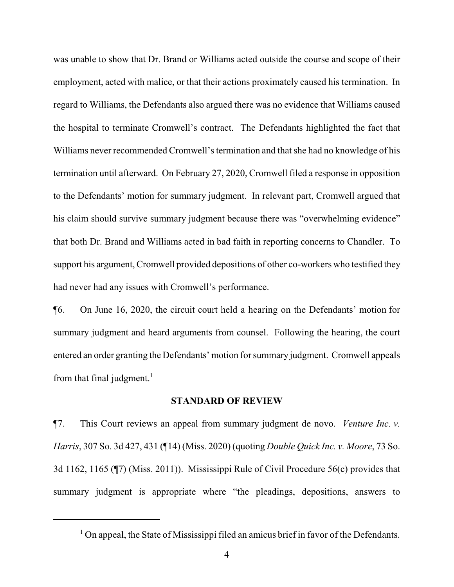was unable to show that Dr. Brand or Williams acted outside the course and scope of their employment, acted with malice, or that their actions proximately caused his termination. In regard to Williams, the Defendants also argued there was no evidence that Williams caused the hospital to terminate Cromwell's contract. The Defendants highlighted the fact that Williams never recommended Cromwell's termination and that she had no knowledge of his termination until afterward. On February 27, 2020, Cromwell filed a response in opposition to the Defendants' motion for summary judgment. In relevant part, Cromwell argued that his claim should survive summary judgment because there was "overwhelming evidence" that both Dr. Brand and Williams acted in bad faith in reporting concerns to Chandler. To support his argument, Cromwell provided depositions of other co-workers who testified they had never had any issues with Cromwell's performance.

¶6. On June 16, 2020, the circuit court held a hearing on the Defendants' motion for summary judgment and heard arguments from counsel. Following the hearing, the court entered an order granting the Defendants' motion for summary judgment. Cromwell appeals from that final judgment.<sup>1</sup>

## **STANDARD OF REVIEW**

¶7. This Court reviews an appeal from summary judgment de novo. *Venture Inc. v. Harris*, 307 So. 3d 427, 431 (¶14) (Miss. 2020) (quoting *Double Quick Inc. v. Moore*, 73 So. 3d 1162, 1165 (¶7) (Miss. 2011)). Mississippi Rule of Civil Procedure 56(c) provides that summary judgment is appropriate where "the pleadings, depositions, answers to

<sup>&</sup>lt;sup>1</sup> On appeal, the State of Mississippi filed an amicus brief in favor of the Defendants.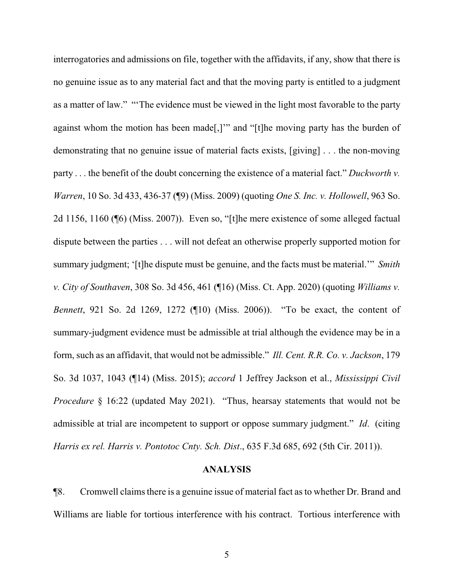interrogatories and admissions on file, together with the affidavits, if any, show that there is no genuine issue as to any material fact and that the moving party is entitled to a judgment as a matter of law." "'The evidence must be viewed in the light most favorable to the party against whom the motion has been made[,]'" and "[t]he moving party has the burden of demonstrating that no genuine issue of material facts exists, [giving] . . . the non-moving party . . . the benefit of the doubt concerning the existence of a material fact." *Duckworth v. Warren*, 10 So. 3d 433, 436-37 (¶9) (Miss. 2009) (quoting *One S. Inc. v. Hollowell*, 963 So. 2d 1156, 1160 (¶6) (Miss. 2007)). Even so, "[t]he mere existence of some alleged factual dispute between the parties . . . will not defeat an otherwise properly supported motion for summary judgment; '[t]he dispute must be genuine, and the facts must be material.'" *Smith v. City of Southaven*, 308 So. 3d 456, 461 (¶16) (Miss. Ct. App. 2020) (quoting *Williams v. Bennett*, 921 So. 2d 1269, 1272 (¶10) (Miss. 2006)). "To be exact, the content of summary-judgment evidence must be admissible at trial although the evidence may be in a form, such as an affidavit, that would not be admissible." *Ill. Cent. R.R. Co. v. Jackson*, 179 So. 3d 1037, 1043 (¶14) (Miss. 2015); *accord* 1 Jeffrey Jackson et al., *Mississippi Civil Procedure* § 16:22 (updated May 2021). "Thus, hearsay statements that would not be admissible at trial are incompetent to support or oppose summary judgment." *Id*. (citing *Harris ex rel. Harris v. Pontotoc Cnty. Sch. Dist*., 635 F.3d 685, 692 (5th Cir. 2011)).

## **ANALYSIS**

¶8. Cromwell claimsthere is a genuine issue of material fact as to whether Dr. Brand and Williams are liable for tortious interference with his contract. Tortious interference with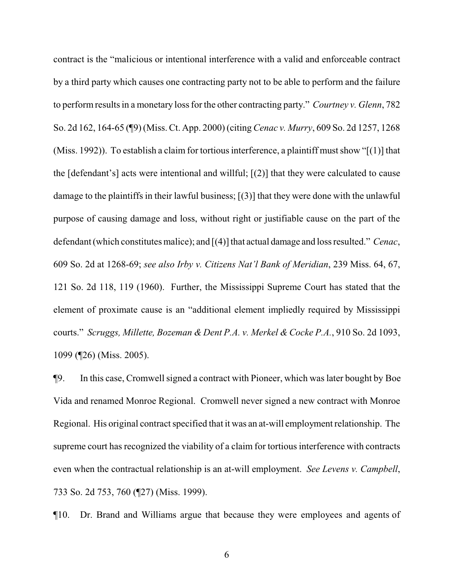contract is the "malicious or intentional interference with a valid and enforceable contract by a third party which causes one contracting party not to be able to perform and the failure to perform results in a monetary loss for the other contracting party." *Courtney v. Glenn*, 782 So. 2d 162, 164-65 (¶9) (Miss. Ct. App. 2000) (citing *Cenac v. Murry*, 609 So. 2d 1257, 1268 (Miss. 1992)). To establish a claim for tortious interference, a plaintiff must show "[(1)] that the [defendant's] acts were intentional and willful; [(2)] that they were calculated to cause damage to the plaintiffs in their lawful business; [(3)] that they were done with the unlawful purpose of causing damage and loss, without right or justifiable cause on the part of the defendant (which constitutes malice); and [(4)] that actual damage and loss resulted." *Cenac*, 609 So. 2d at 1268-69; *see also Irby v. Citizens Nat'l Bank of Meridian*, 239 Miss. 64, 67, 121 So. 2d 118, 119 (1960). Further, the Mississippi Supreme Court has stated that the element of proximate cause is an "additional element impliedly required by Mississippi courts." *Scruggs, Millette, Bozeman & Dent P.A. v. Merkel & Cocke P.A.*, 910 So. 2d 1093, 1099 (¶26) (Miss. 2005).

¶9. In this case, Cromwell signed a contract with Pioneer, which was later bought by Boe Vida and renamed Monroe Regional. Cromwell never signed a new contract with Monroe Regional. His original contract specified that it was an at-will employment relationship. The supreme court has recognized the viability of a claim for tortious interference with contracts even when the contractual relationship is an at-will employment. *See Levens v. Campbell*, 733 So. 2d 753, 760 (¶27) (Miss. 1999).

¶10. Dr. Brand and Williams argue that because they were employees and agents of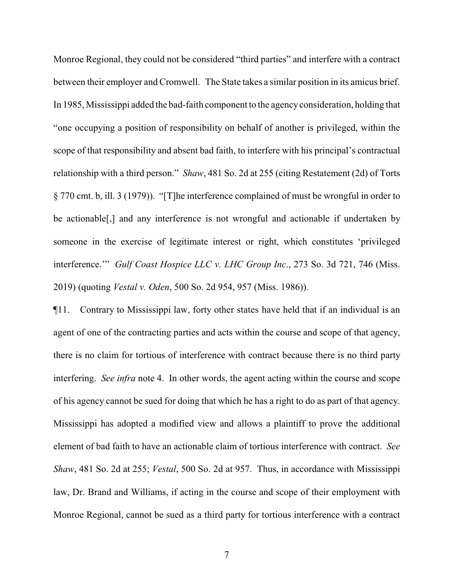Monroe Regional, they could not be considered "third parties" and interfere with a contract between their employer and Cromwell. The State takes a similar position in its amicus brief. In 1985, Mississippi added the bad-faith component to the agencyconsideration, holding that "one occupying a position of responsibility on behalf of another is privileged, within the scope of that responsibility and absent bad faith, to interfere with his principal's contractual relationship with a third person." *Shaw*, 481 So. 2d at 255 (citing Restatement (2d) of Torts § 770 cmt. b, ill. 3 (1979)). "[T]he interference complained of must be wrongful in order to be actionable[,] and any interference is not wrongful and actionable if undertaken by someone in the exercise of legitimate interest or right, which constitutes 'privileged interference.'" *Gulf Coast Hospice LLC v. LHC Group Inc*., 273 So. 3d 721, 746 (Miss. 2019) (quoting *Vestal v. Oden*, 500 So. 2d 954, 957 (Miss. 1986)).

¶11. Contrary to Mississippi law, forty other states have held that if an individual is an agent of one of the contracting parties and acts within the course and scope of that agency, there is no claim for tortious of interference with contract because there is no third party interfering. *See infra* note 4. In other words, the agent acting within the course and scope of his agency cannot be sued for doing that which he has a right to do as part of that agency. Mississippi has adopted a modified view and allows a plaintiff to prove the additional element of bad faith to have an actionable claim of tortious interference with contract. *See Shaw*, 481 So. 2d at 255; *Vestal*, 500 So. 2d at 957. Thus, in accordance with Mississippi law, Dr. Brand and Williams, if acting in the course and scope of their employment with Monroe Regional, cannot be sued as a third party for tortious interference with a contract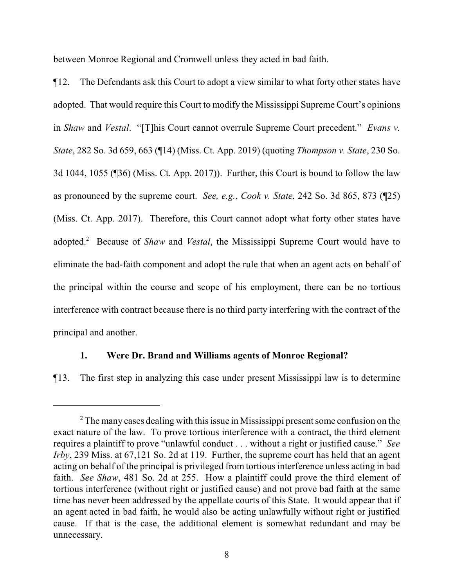between Monroe Regional and Cromwell unless they acted in bad faith.

¶12. The Defendants ask this Court to adopt a view similar to what forty other states have adopted. That would require this Court to modify the Mississippi Supreme Court's opinions in *Shaw* and *Vestal*. "[T]his Court cannot overrule Supreme Court precedent." *Evans v. State*, 282 So. 3d 659, 663 (¶14) (Miss. Ct. App. 2019) (quoting *Thompson v. State*, 230 So. 3d 1044, 1055 (¶36) (Miss. Ct. App. 2017)). Further, this Court is bound to follow the law as pronounced by the supreme court. *See, e.g.*, *Cook v. State*, 242 So. 3d 865, 873 (¶25) (Miss. Ct. App. 2017). Therefore, this Court cannot adopt what forty other states have adopted.<sup>2</sup> Because of *Shaw* and *Vestal*, the Mississippi Supreme Court would have to eliminate the bad-faith component and adopt the rule that when an agent acts on behalf of the principal within the course and scope of his employment, there can be no tortious interference with contract because there is no third party interfering with the contract of the principal and another.

### **1. Were Dr. Brand and Williams agents of Monroe Regional?**

¶13. The first step in analyzing this case under present Mississippi law is to determine

 $2^2$  The many cases dealing with this issue in Mississippi present some confusion on the exact nature of the law. To prove tortious interference with a contract, the third element requires a plaintiff to prove "unlawful conduct . . . without a right or justified cause." *See Irby*, 239 Miss. at 67,121 So. 2d at 119. Further, the supreme court has held that an agent acting on behalf of the principal is privileged from tortious interference unless acting in bad faith. *See Shaw*, 481 So. 2d at 255. How a plaintiff could prove the third element of tortious interference (without right or justified cause) and not prove bad faith at the same time has never been addressed by the appellate courts of this State. It would appear that if an agent acted in bad faith, he would also be acting unlawfully without right or justified cause. If that is the case, the additional element is somewhat redundant and may be unnecessary.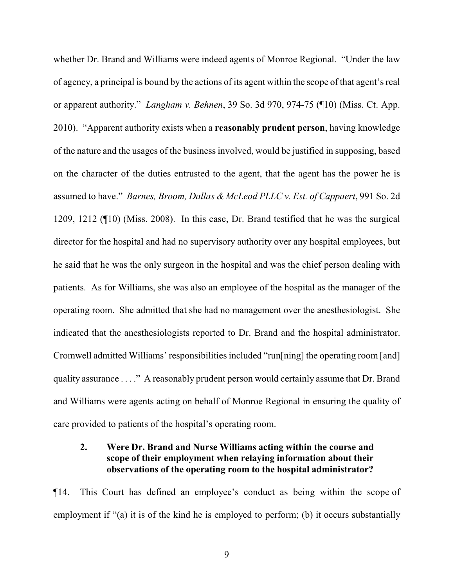whether Dr. Brand and Williams were indeed agents of Monroe Regional. "Under the law of agency, a principal is bound by the actions of its agent within the scope of that agent's real or apparent authority." *Langham v. Behnen*, 39 So. 3d 970, 974-75 (¶10) (Miss. Ct. App. 2010). "Apparent authority exists when a **reasonably prudent person**, having knowledge of the nature and the usages of the business involved, would be justified in supposing, based on the character of the duties entrusted to the agent, that the agent has the power he is assumed to have." *Barnes, Broom, Dallas & McLeod PLLC v. Est. of Cappaert*, 991 So. 2d 1209, 1212 (¶10) (Miss. 2008). In this case, Dr. Brand testified that he was the surgical director for the hospital and had no supervisory authority over any hospital employees, but he said that he was the only surgeon in the hospital and was the chief person dealing with patients. As for Williams, she was also an employee of the hospital as the manager of the operating room. She admitted that she had no management over the anesthesiologist. She indicated that the anesthesiologists reported to Dr. Brand and the hospital administrator. Cromwell admitted Williams' responsibilities included "run[ning] the operating room [and] quality assurance . . . ." A reasonably prudent person would certainly assume that Dr. Brand and Williams were agents acting on behalf of Monroe Regional in ensuring the quality of care provided to patients of the hospital's operating room.

## **2. Were Dr. Brand and Nurse Williams acting within the course and scope of their employment when relaying information about their observations of the operating room to the hospital administrator?**

¶14. This Court has defined an employee's conduct as being within the scope of employment if "(a) it is of the kind he is employed to perform; (b) it occurs substantially

9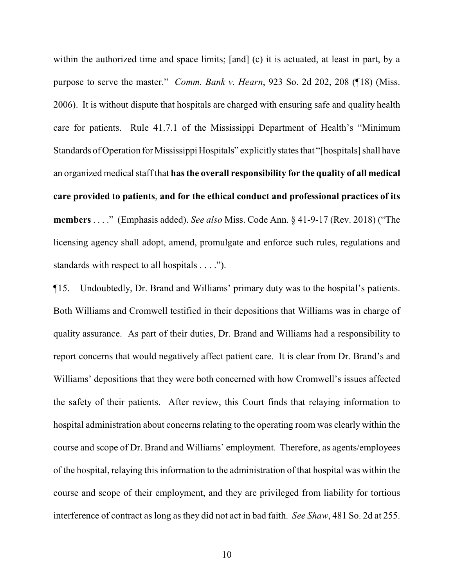within the authorized time and space limits; [and] (c) it is actuated, at least in part, by a purpose to serve the master." *Comm. Bank v. Hearn*, 923 So. 2d 202, 208 (¶18) (Miss. 2006). It is without dispute that hospitals are charged with ensuring safe and quality health care for patients. Rule 41.7.1 of the Mississippi Department of Health's "Minimum Standards of Operation for Mississippi Hospitals" explicitly states that "[hospitals] shall have an organized medical staff that **has the overall responsibility for the quality of all medical care provided to patients**, **and for the ethical conduct and professional practices of its members** . . . ." (Emphasis added). *See also* Miss. Code Ann. § 41-9-17 (Rev. 2018) ("The licensing agency shall adopt, amend, promulgate and enforce such rules, regulations and standards with respect to all hospitals . . . .").

¶15. Undoubtedly, Dr. Brand and Williams' primary duty was to the hospital's patients. Both Williams and Cromwell testified in their depositions that Williams was in charge of quality assurance. As part of their duties, Dr. Brand and Williams had a responsibility to report concerns that would negatively affect patient care. It is clear from Dr. Brand's and Williams' depositions that they were both concerned with how Cromwell's issues affected the safety of their patients. After review, this Court finds that relaying information to hospital administration about concerns relating to the operating room was clearly within the course and scope of Dr. Brand and Williams' employment. Therefore, as agents/employees of the hospital, relaying this information to the administration of that hospital was within the course and scope of their employment, and they are privileged from liability for tortious interference of contract as long as they did not act in bad faith. *See Shaw*, 481 So. 2d at 255.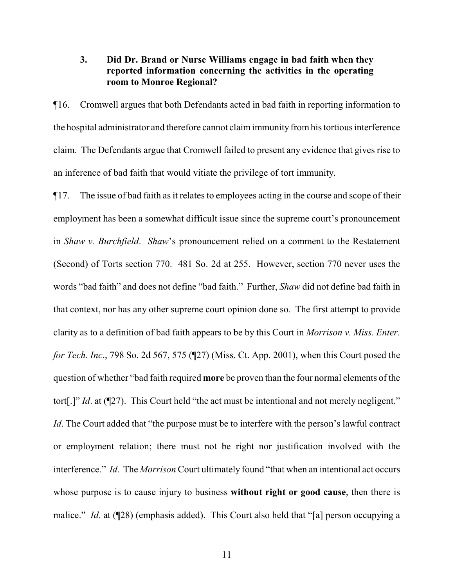## **3. Did Dr. Brand or Nurse Williams engage in bad faith when they reported information concerning the activities in the operating room to Monroe Regional?**

¶16. Cromwell argues that both Defendants acted in bad faith in reporting information to the hospital administrator and therefore cannot claimimmunity fromhis tortious interference claim. The Defendants argue that Cromwell failed to present any evidence that gives rise to an inference of bad faith that would vitiate the privilege of tort immunity.

¶17. The issue of bad faith as it relates to employees acting in the course and scope of their employment has been a somewhat difficult issue since the supreme court's pronouncement in *Shaw v. Burchfield*. *Shaw*'s pronouncement relied on a comment to the Restatement (Second) of Torts section 770. 481 So. 2d at 255. However, section 770 never uses the words "bad faith" and does not define "bad faith." Further, *Shaw* did not define bad faith in that context, nor has any other supreme court opinion done so. The first attempt to provide clarity as to a definition of bad faith appears to be by this Court in *Morrison v. Miss. Enter. for Tech*. *Inc*., 798 So. 2d 567, 575 (¶27) (Miss. Ct. App. 2001), when this Court posed the question of whether "bad faith required **more** be proven than the four normal elements of the tort<sup>[1]</sup> *Id.* at (127). This Court held "the act must be intentional and not merely negligent." *Id*. The Court added that "the purpose must be to interfere with the person's lawful contract or employment relation; there must not be right nor justification involved with the interference." *Id*. The *Morrison* Court ultimately found "that when an intentional act occurs whose purpose is to cause injury to business **without right or good cause**, then there is malice." *Id.* at (¶28) (emphasis added). This Court also held that "[a] person occupying a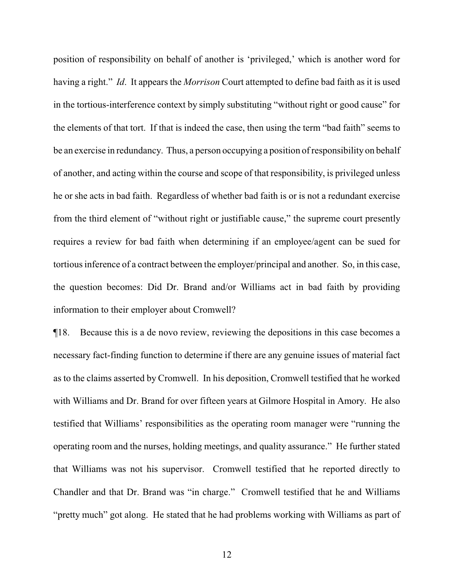position of responsibility on behalf of another is 'privileged,' which is another word for having a right." *Id*. It appears the *Morrison* Court attempted to define bad faith as it is used in the tortious-interference context by simply substituting "without right or good cause" for the elements of that tort. If that is indeed the case, then using the term "bad faith" seems to be an exercise in redundancy. Thus, a person occupying a position of responsibility on behalf of another, and acting within the course and scope of that responsibility, is privileged unless he or she acts in bad faith. Regardless of whether bad faith is or is not a redundant exercise from the third element of "without right or justifiable cause," the supreme court presently requires a review for bad faith when determining if an employee/agent can be sued for tortious inference of a contract between the employer/principal and another. So, in this case, the question becomes: Did Dr. Brand and/or Williams act in bad faith by providing information to their employer about Cromwell?

¶18. Because this is a de novo review, reviewing the depositions in this case becomes a necessary fact-finding function to determine if there are any genuine issues of material fact as to the claims asserted by Cromwell. In his deposition, Cromwell testified that he worked with Williams and Dr. Brand for over fifteen years at Gilmore Hospital in Amory. He also testified that Williams' responsibilities as the operating room manager were "running the operating room and the nurses, holding meetings, and quality assurance." He further stated that Williams was not his supervisor. Cromwell testified that he reported directly to Chandler and that Dr. Brand was "in charge." Cromwell testified that he and Williams "pretty much" got along. He stated that he had problems working with Williams as part of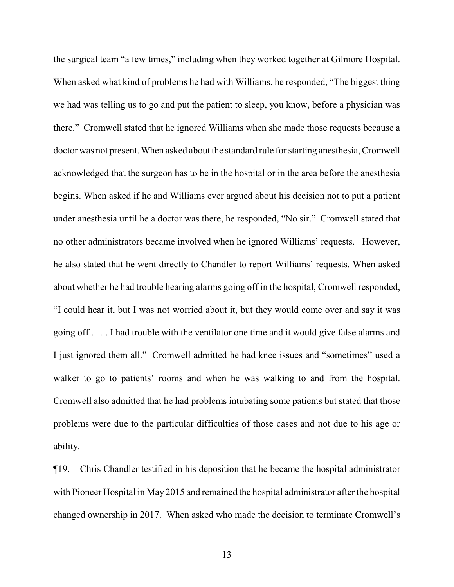the surgical team "a few times," including when they worked together at Gilmore Hospital. When asked what kind of problems he had with Williams, he responded, "The biggest thing we had was telling us to go and put the patient to sleep, you know, before a physician was there." Cromwell stated that he ignored Williams when she made those requests because a doctor was not present. When asked about the standard rule for starting anesthesia, Cromwell acknowledged that the surgeon has to be in the hospital or in the area before the anesthesia begins. When asked if he and Williams ever argued about his decision not to put a patient under anesthesia until he a doctor was there, he responded, "No sir." Cromwell stated that no other administrators became involved when he ignored Williams' requests. However, he also stated that he went directly to Chandler to report Williams' requests. When asked about whether he had trouble hearing alarms going off in the hospital, Cromwell responded, "I could hear it, but I was not worried about it, but they would come over and say it was going off . . . . I had trouble with the ventilator one time and it would give false alarms and I just ignored them all." Cromwell admitted he had knee issues and "sometimes" used a walker to go to patients' rooms and when he was walking to and from the hospital. Cromwell also admitted that he had problems intubating some patients but stated that those problems were due to the particular difficulties of those cases and not due to his age or ability.

¶19. Chris Chandler testified in his deposition that he became the hospital administrator with Pioneer Hospital in May 2015 and remained the hospital administrator after the hospital changed ownership in 2017. When asked who made the decision to terminate Cromwell's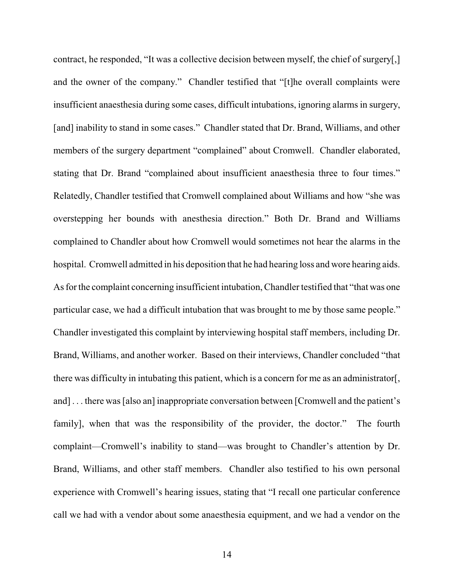contract, he responded, "It was a collective decision between myself, the chief of surgery[,] and the owner of the company." Chandler testified that "[t]he overall complaints were insufficient anaesthesia during some cases, difficult intubations, ignoring alarms in surgery, [and] inability to stand in some cases." Chandler stated that Dr. Brand, Williams, and other members of the surgery department "complained" about Cromwell. Chandler elaborated, stating that Dr. Brand "complained about insufficient anaesthesia three to four times." Relatedly, Chandler testified that Cromwell complained about Williams and how "she was overstepping her bounds with anesthesia direction." Both Dr. Brand and Williams complained to Chandler about how Cromwell would sometimes not hear the alarms in the hospital. Cromwell admitted in his deposition that he had hearing loss and wore hearing aids. As for the complaint concerning insufficient intubation, Chandler testified that "that was one particular case, we had a difficult intubation that was brought to me by those same people." Chandler investigated this complaint by interviewing hospital staff members, including Dr. Brand, Williams, and another worker. Based on their interviews, Chandler concluded "that there was difficulty in intubating this patient, which is a concern for me as an administrator[, and]... there was [also an] inappropriate conversation between [Cromwell and the patient's family], when that was the responsibility of the provider, the doctor." The fourth complaint—Cromwell's inability to stand—was brought to Chandler's attention by Dr. Brand, Williams, and other staff members. Chandler also testified to his own personal experience with Cromwell's hearing issues, stating that "I recall one particular conference call we had with a vendor about some anaesthesia equipment, and we had a vendor on the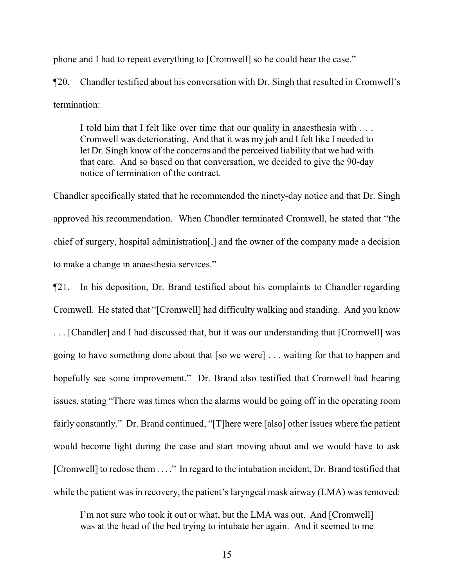phone and I had to repeat everything to [Cromwell] so he could hear the case."

¶20. Chandler testified about his conversation with Dr. Singh that resulted in Cromwell's termination:

I told him that I felt like over time that our quality in anaesthesia with . . . Cromwell was deteriorating. And that it was my job and I felt like I needed to let Dr. Singh know of the concerns and the perceived liability that we had with that care. And so based on that conversation, we decided to give the 90-day notice of termination of the contract.

Chandler specifically stated that he recommended the ninety-day notice and that Dr. Singh approved his recommendation. When Chandler terminated Cromwell, he stated that "the chief of surgery, hospital administration[,] and the owner of the company made a decision to make a change in anaesthesia services."

¶21. In his deposition, Dr. Brand testified about his complaints to Chandler regarding Cromwell. He stated that "[Cromwell] had difficulty walking and standing. And you know . . . [Chandler] and I had discussed that, but it was our understanding that [Cromwell] was going to have something done about that [so we were] . . . waiting for that to happen and hopefully see some improvement." Dr. Brand also testified that Cromwell had hearing issues, stating "There was times when the alarms would be going off in the operating room fairly constantly." Dr. Brand continued, "[T]here were [also] other issues where the patient would become light during the case and start moving about and we would have to ask [Cromwell] to redose them . . . ." In regard to the intubation incident, Dr. Brand testified that while the patient was in recovery, the patient's laryngeal mask airway (LMA) was removed:

I'm not sure who took it out or what, but the LMA was out. And [Cromwell] was at the head of the bed trying to intubate her again. And it seemed to me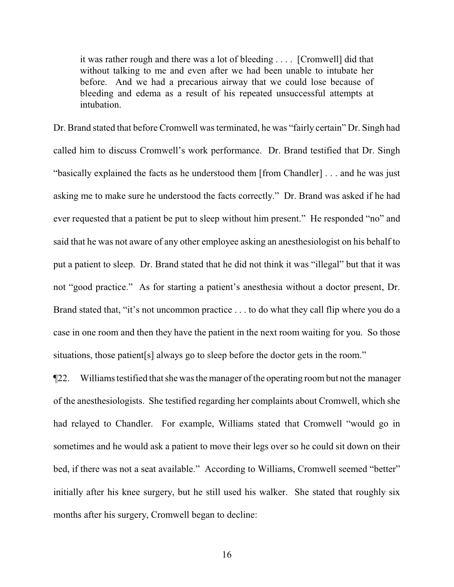it was rather rough and there was a lot of bleeding . . . . [Cromwell] did that without talking to me and even after we had been unable to intubate her before. And we had a precarious airway that we could lose because of bleeding and edema as a result of his repeated unsuccessful attempts at intubation.

Dr. Brand stated that before Cromwell was terminated, he was "fairly certain" Dr. Singh had called him to discuss Cromwell's work performance. Dr. Brand testified that Dr. Singh "basically explained the facts as he understood them [from Chandler] . . . and he was just asking me to make sure he understood the facts correctly." Dr. Brand was asked if he had ever requested that a patient be put to sleep without him present." He responded "no" and said that he was not aware of any other employee asking an anesthesiologist on his behalf to put a patient to sleep. Dr. Brand stated that he did not think it was "illegal" but that it was not "good practice." As for starting a patient's anesthesia without a doctor present, Dr. Brand stated that, "it's not uncommon practice . . . to do what they call flip where you do a case in one room and then they have the patient in the next room waiting for you. So those situations, those patient [s] always go to sleep before the doctor gets in the room."

¶22. Williamstestified that she was the manager of the operating room but not the manager of the anesthesiologists. She testified regarding her complaints about Cromwell, which she had relayed to Chandler. For example, Williams stated that Cromwell "would go in sometimes and he would ask a patient to move their legs over so he could sit down on their bed, if there was not a seat available." According to Williams, Cromwell seemed "better" initially after his knee surgery, but he still used his walker. She stated that roughly six months after his surgery, Cromwell began to decline: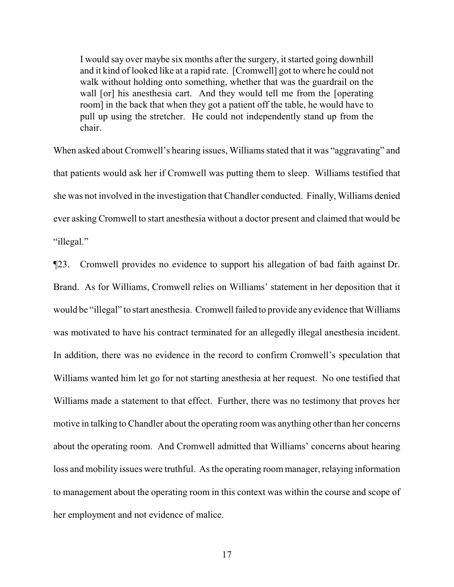I would say over maybe six months after the surgery, it started going downhill and it kind of looked like at a rapid rate. [Cromwell] got to where he could not walk without holding onto something, whether that was the guardrail on the wall [or] his anesthesia cart. And they would tell me from the [operating] room] in the back that when they got a patient off the table, he would have to pull up using the stretcher. He could not independently stand up from the chair.

When asked about Cromwell's hearing issues, Williams stated that it was "aggravating" and that patients would ask her if Cromwell was putting them to sleep. Williams testified that she was not involved in the investigation that Chandler conducted. Finally, Williams denied ever asking Cromwell to start anesthesia without a doctor present and claimed that would be "illegal."

¶23. Cromwell provides no evidence to support his allegation of bad faith against Dr. Brand. As for Williams, Cromwell relies on Williams' statement in her deposition that it would be "illegal" to start anesthesia. Cromwell failed to provide any evidence that Williams was motivated to have his contract terminated for an allegedly illegal anesthesia incident. In addition, there was no evidence in the record to confirm Cromwell's speculation that Williams wanted him let go for not starting anesthesia at her request. No one testified that Williams made a statement to that effect. Further, there was no testimony that proves her motive in talking to Chandler about the operating room was anything other than her concerns about the operating room. And Cromwell admitted that Williams' concerns about hearing loss and mobility issues were truthful. As the operating room manager, relaying information to management about the operating room in this context was within the course and scope of her employment and not evidence of malice.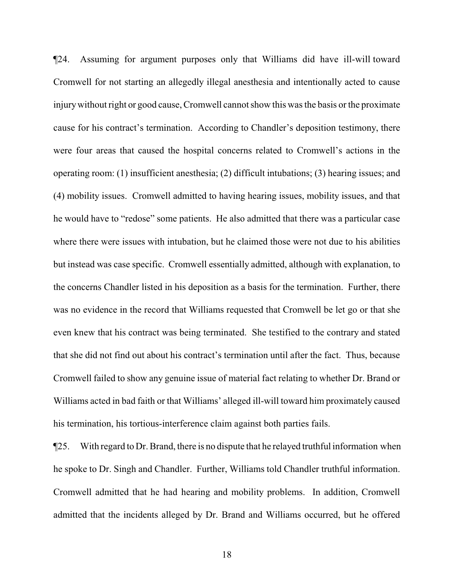¶24. Assuming for argument purposes only that Williams did have ill-will toward Cromwell for not starting an allegedly illegal anesthesia and intentionally acted to cause injurywithout right or good cause, Cromwell cannot show this was the basis or the proximate cause for his contract's termination. According to Chandler's deposition testimony, there were four areas that caused the hospital concerns related to Cromwell's actions in the operating room: (1) insufficient anesthesia; (2) difficult intubations; (3) hearing issues; and (4) mobility issues. Cromwell admitted to having hearing issues, mobility issues, and that he would have to "redose" some patients. He also admitted that there was a particular case where there were issues with intubation, but he claimed those were not due to his abilities but instead was case specific. Cromwell essentially admitted, although with explanation, to the concerns Chandler listed in his deposition as a basis for the termination. Further, there was no evidence in the record that Williams requested that Cromwell be let go or that she even knew that his contract was being terminated. She testified to the contrary and stated that she did not find out about his contract's termination until after the fact. Thus, because Cromwell failed to show any genuine issue of material fact relating to whether Dr. Brand or Williams acted in bad faith or that Williams' alleged ill-will toward him proximately caused his termination, his tortious-interference claim against both parties fails.

¶25. With regard to Dr. Brand, there is no dispute that he relayed truthful information when he spoke to Dr. Singh and Chandler. Further, Williams told Chandler truthful information. Cromwell admitted that he had hearing and mobility problems. In addition, Cromwell admitted that the incidents alleged by Dr. Brand and Williams occurred, but he offered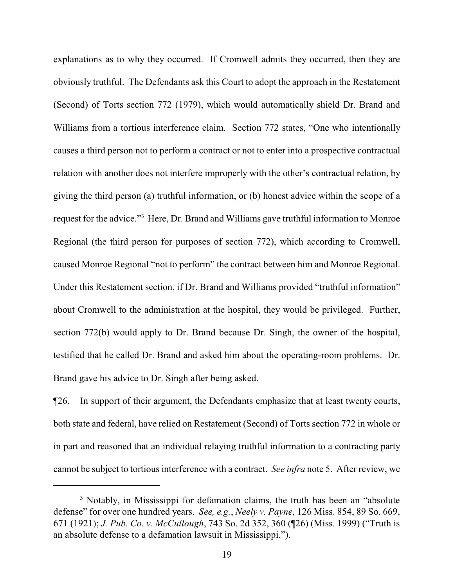explanations as to why they occurred. If Cromwell admits they occurred, then they are obviously truthful. The Defendants ask this Court to adopt the approach in the Restatement (Second) of Torts section 772 (1979), which would automatically shield Dr. Brand and Williams from a tortious interference claim. Section 772 states, "One who intentionally causes a third person not to perform a contract or not to enter into a prospective contractual relation with another does not interfere improperly with the other's contractual relation, by giving the third person (a) truthful information, or (b) honest advice within the scope of a request for the advice."<sup>3</sup> Here, Dr. Brand and Williams gave truthful information to Monroe Regional (the third person for purposes of section 772), which according to Cromwell, caused Monroe Regional "not to perform" the contract between him and Monroe Regional. Under this Restatement section, if Dr. Brand and Williams provided "truthful information" about Cromwell to the administration at the hospital, they would be privileged. Further, section 772(b) would apply to Dr. Brand because Dr. Singh, the owner of the hospital, testified that he called Dr. Brand and asked him about the operating-room problems. Dr. Brand gave his advice to Dr. Singh after being asked.

¶26. In support of their argument, the Defendants emphasize that at least twenty courts, both state and federal, have relied on Restatement (Second) of Torts section 772 in whole or in part and reasoned that an individual relaying truthful information to a contracting party cannot be subject to tortious interference with a contract. *See infra* note 5. After review, we

<sup>&</sup>lt;sup>3</sup> Notably, in Mississippi for defamation claims, the truth has been an "absolute" defense" for over one hundred years. *See, e.g.*, *Neely v. Payne*, 126 Miss. 854, 89 So. 669, 671 (1921); *J. Pub. Co. v. McCullough*, 743 So. 2d 352, 360 (¶26) (Miss. 1999) ("Truth is an absolute defense to a defamation lawsuit in Mississippi.").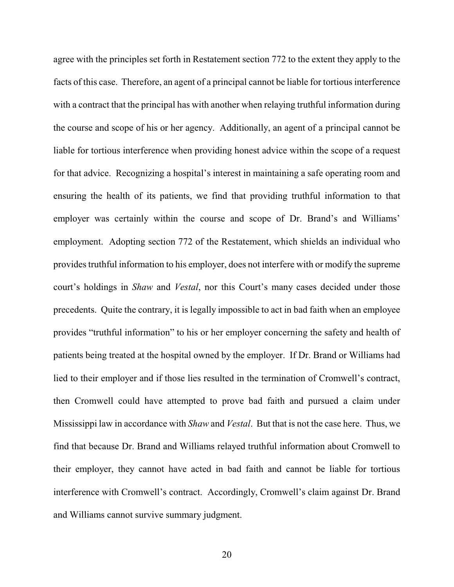agree with the principles set forth in Restatement section 772 to the extent they apply to the facts of this case. Therefore, an agent of a principal cannot be liable for tortious interference with a contract that the principal has with another when relaying truthful information during the course and scope of his or her agency. Additionally, an agent of a principal cannot be liable for tortious interference when providing honest advice within the scope of a request for that advice. Recognizing a hospital's interest in maintaining a safe operating room and ensuring the health of its patients, we find that providing truthful information to that employer was certainly within the course and scope of Dr. Brand's and Williams' employment. Adopting section 772 of the Restatement, which shields an individual who provides truthful information to his employer, does not interfere with or modify the supreme court's holdings in *Shaw* and *Vestal*, nor this Court's many cases decided under those precedents. Quite the contrary, it is legally impossible to act in bad faith when an employee provides "truthful information" to his or her employer concerning the safety and health of patients being treated at the hospital owned by the employer. If Dr. Brand or Williams had lied to their employer and if those lies resulted in the termination of Cromwell's contract, then Cromwell could have attempted to prove bad faith and pursued a claim under Mississippi law in accordance with *Shaw* and *Vestal*. But that is not the case here. Thus, we find that because Dr. Brand and Williams relayed truthful information about Cromwell to their employer, they cannot have acted in bad faith and cannot be liable for tortious interference with Cromwell's contract. Accordingly, Cromwell's claim against Dr. Brand and Williams cannot survive summary judgment.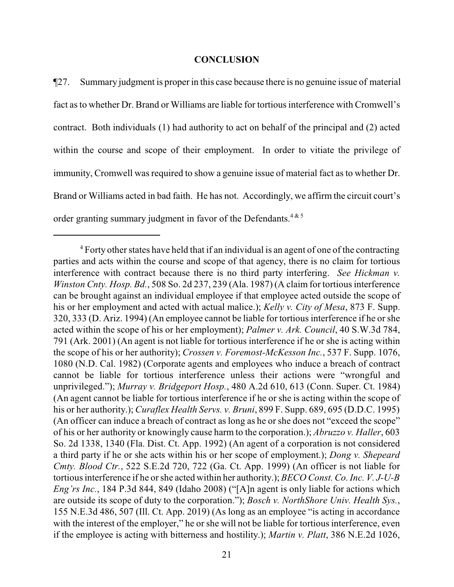#### **CONCLUSION**

¶27. Summary judgment is proper in this case because there is no genuine issue of material fact as to whether Dr. Brand or Williams are liable for tortious interference with Cromwell's contract. Both individuals (1) had authority to act on behalf of the principal and (2) acted within the course and scope of their employment. In order to vitiate the privilege of immunity, Cromwell was required to show a genuine issue of material fact as to whether Dr. Brand or Williams acted in bad faith. He has not. Accordingly, we affirm the circuit court's order granting summary judgment in favor of the Defendants.<sup>4&5</sup>

 $4$  Forty other states have held that if an individual is an agent of one of the contracting parties and acts within the course and scope of that agency, there is no claim for tortious interference with contract because there is no third party interfering. *See Hickman v. Winston Cnty. Hosp. Bd.*, 508 So. 2d 237, 239 (Ala. 1987) (A claim for tortious interference can be brought against an individual employee if that employee acted outside the scope of his or her employment and acted with actual malice.); *Kelly v. City of Mesa*, 873 F. Supp. 320, 333 (D. Ariz. 1994) (An employee cannot be liable for tortious interference if he or she acted within the scope of his or her employment); *Palmer v. Ark. Council*, 40 S.W.3d 784, 791 (Ark. 2001) (An agent is not liable for tortious interference if he or she is acting within the scope of his or her authority); *Crossen v. Foremost-McKesson Inc.*, 537 F. Supp. 1076, 1080 (N.D. Cal. 1982) (Corporate agents and employees who induce a breach of contract cannot be liable for tortious interference unless their actions were "wrongful and unprivileged."); *Murray v. Bridgeport Hosp.*, 480 A.2d 610, 613 (Conn. Super. Ct. 1984) (An agent cannot be liable for tortious interference if he or she is acting within the scope of his or her authority.); *Curaflex Health Servs. v. Bruni*, 899 F. Supp. 689, 695 (D.D.C. 1995) (An officer can induce a breach of contract as long as he or she does not "exceed the scope" of his or her authority or knowingly cause harm to the corporation.); *Abruzzo v. Haller*, 603 So. 2d 1338, 1340 (Fla. Dist. Ct. App. 1992) (An agent of a corporation is not considered a third party if he or she acts within his or her scope of employment.); *Dong v. Shepeard Cmty. Blood Ctr.*, 522 S.E.2d 720, 722 (Ga. Ct. App. 1999) (An officer is not liable for tortiousinterference if he or she acted within her authority.); *BECO Const. Co. Inc. V. J-U-B Eng'rs Inc.*, 184 P.3d 844, 849 (Idaho 2008) ("[A]n agent is only liable for actions which are outside its scope of duty to the corporation."); *Bosch v. NorthShore Univ. Health Sys.*, 155 N.E.3d 486, 507 (Ill. Ct. App. 2019) (As long as an employee "is acting in accordance with the interest of the employer," he or she will not be liable for tortious interference, even if the employee is acting with bitterness and hostility.); *Martin v. Platt*, 386 N.E.2d 1026,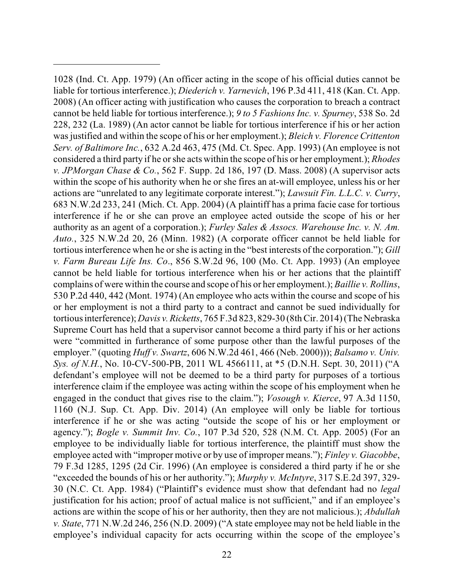1028 (Ind. Ct. App. 1979) (An officer acting in the scope of his official duties cannot be liable for tortious interference.); *Diederich v. Yarnevich*, 196 P.3d 411, 418 (Kan. Ct. App. 2008) (An officer acting with justification who causes the corporation to breach a contract cannot be held liable for tortious interference.); *9 to 5 Fashions Inc. v. Spurney*, 538 So. 2d 228, 232 (La. 1989) (An actor cannot be liable for tortious interference if his or her action was justified and within the scope of his or her employment.); *Bleich v. Florence Crittenton Serv. of Baltimore Inc.*, 632 A.2d 463, 475 (Md. Ct. Spec. App. 1993) (An employee is not considered a third party if he or she acts within the scope of his or her employment.); *Rhodes v. JPMorgan Chase & Co.*, 562 F. Supp. 2d 186, 197 (D. Mass. 2008) (A supervisor acts within the scope of his authority when he or she fires an at-will employee, unless his or her actions are "unrelated to any legitimate corporate interest."); *Lawsuit Fin. L.L.C. v. Curry*, 683 N.W.2d 233, 241 (Mich. Ct. App. 2004) (A plaintiff has a prima facie case for tortious interference if he or she can prove an employee acted outside the scope of his or her authority as an agent of a corporation.); *Furley Sales & Assocs. Warehouse Inc. v. N. Am. Auto.*, 325 N.W.2d 20, 26 (Minn. 1982) (A corporate officer cannot be held liable for tortious interference when he or she is acting in the "best interests of the corporation."); *Gill v. Farm Bureau Life Ins. Co*., 856 S.W.2d 96, 100 (Mo. Ct. App. 1993) (An employee cannot be held liable for tortious interference when his or her actions that the plaintiff complains of were within the course and scope of his or her employment.); *Baillie v. Rollins*, 530 P.2d 440, 442 (Mont. 1974) (An employee who acts within the course and scope of his or her employment is not a third party to a contract and cannot be sued individually for tortious interference); *Davis v. Ricketts*, 765 F.3d 823, 829-30 (8th Cir. 2014) (The Nebraska Supreme Court has held that a supervisor cannot become a third party if his or her actions were "committed in furtherance of some purpose other than the lawful purposes of the employer." (quoting *Huff v. Swartz*, 606 N.W.2d 461, 466 (Neb. 2000))); *Balsamo v. Univ. Sys. of N.H.*, No. 10-CV-500-PB, 2011 WL 4566111, at \*5 (D.N.H. Sept. 30, 2011) ("A defendant's employee will not be deemed to be a third party for purposes of a tortious interference claim if the employee was acting within the scope of his employment when he engaged in the conduct that gives rise to the claim."); *Vosough v. Kierce*, 97 A.3d 1150, 1160 (N.J. Sup. Ct. App. Div. 2014) (An employee will only be liable for tortious interference if he or she was acting "outside the scope of his or her employment or agency."); *Bogle v. Summit Inv. Co.*, 107 P.3d 520, 528 (N.M. Ct. App. 2005) (For an employee to be individually liable for tortious interference, the plaintiff must show the employee acted with "improper motive or by use of improper means."); *Finley v. Giacobbe*, 79 F.3d 1285, 1295 (2d Cir. 1996) (An employee is considered a third party if he or she "exceeded the bounds of his or her authority."); *Murphy v. McIntyre*, 317 S.E.2d 397, 329- 30 (N.C. Ct. App. 1984) ("Plaintiff's evidence must show that defendant had no *legal* justification for his action; proof of actual malice is not sufficient," and if an employee's actions are within the scope of his or her authority, then they are not malicious.); *Abdullah v. State*, 771 N.W.2d 246, 256 (N.D. 2009) ("A state employee may not be held liable in the employee's individual capacity for acts occurring within the scope of the employee's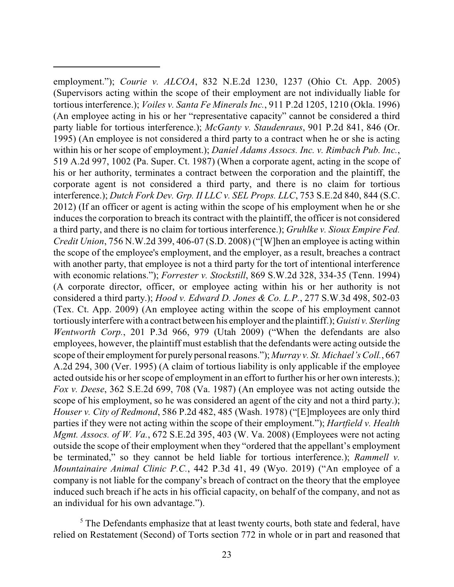employment."); *Courie v. ALCOA*, 832 N.E.2d 1230, 1237 (Ohio Ct. App. 2005) (Supervisors acting within the scope of their employment are not individually liable for tortious interference.); *Voiles v. Santa Fe Minerals Inc.*, 911 P.2d 1205, 1210 (Okla. 1996) (An employee acting in his or her "representative capacity" cannot be considered a third party liable for tortious interference.); *McGanty v. Staudenraus*, 901 P.2d 841, 846 (Or. 1995) (An employee is not considered a third party to a contract when he or she is acting within his or her scope of employment.); *Daniel Adams Assocs. Inc. v. Rimbach Pub. Inc.*, 519 A.2d 997, 1002 (Pa. Super. Ct. 1987) (When a corporate agent, acting in the scope of his or her authority, terminates a contract between the corporation and the plaintiff, the corporate agent is not considered a third party, and there is no claim for tortious interference.); *Dutch Fork Dev. Grp. II LLC v. SEL Props. LLC*, 753 S.E.2d 840, 844 (S.C. 2012) (If an officer or agent is acting within the scope of his employment when he or she induces the corporation to breach its contract with the plaintiff, the officer is not considered a third party, and there is no claim for tortious interference.); *Gruhlke v. Sioux Empire Fed. Credit Union*, 756 N.W.2d 399, 406-07 (S.D. 2008) ("[W]hen an employee is acting within the scope of the employee's employment, and the employer, as a result, breaches a contract with another party, that employee is not a third party for the tort of intentional interference with economic relations."); *Forrester v. Stockstill*, 869 S.W.2d 328, 334-35 (Tenn. 1994) (A corporate director, officer, or employee acting within his or her authority is not considered a third party.); *Hood v. Edward D. Jones & Co. L.P.*, 277 S.W.3d 498, 502-03 (Tex. Ct. App. 2009) (An employee acting within the scope of his employment cannot tortiouslyinterfere with a contract between his employer and the plaintiff.); *Guisti v. Sterling Wentworth Corp.*, 201 P.3d 966, 979 (Utah 2009) ("When the defendants are also employees, however, the plaintiff must establish that the defendants were acting outside the scope oftheir employment for purely personal reasons."); *Murray v. St. Michael's Coll.*, 667 A.2d 294, 300 (Ver. 1995) (A claim of tortious liability is only applicable if the employee acted outside his or her scope of employment in an effort to further his or her own interests.); *Fox v. Deese*, 362 S.E.2d 699, 708 (Va. 1987) (An employee was not acting outside the scope of his employment, so he was considered an agent of the city and not a third party.); *Houser v. City of Redmond*, 586 P.2d 482, 485 (Wash. 1978) ("[E]mployees are only third parties if they were not acting within the scope of their employment."); *Hartfield v. Health Mgmt. Assocs. of W. Va.*, 672 S.E.2d 395, 403 (W. Va. 2008) (Employees were not acting outside the scope of their employment when they "ordered that the appellant's employment be terminated," so they cannot be held liable for tortious interference.); *Rammell v. Mountainaire Animal Clinic P.C.*, 442 P.3d 41, 49 (Wyo. 2019) ("An employee of a company is not liable for the company's breach of contract on the theory that the employee induced such breach if he acts in his official capacity, on behalf of the company, and not as an individual for his own advantage.").

<sup>5</sup> The Defendants emphasize that at least twenty courts, both state and federal, have relied on Restatement (Second) of Torts section 772 in whole or in part and reasoned that